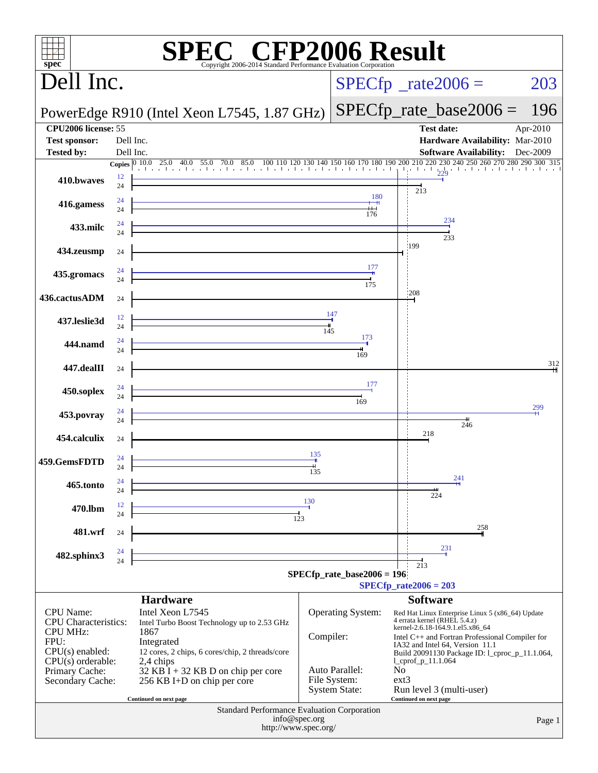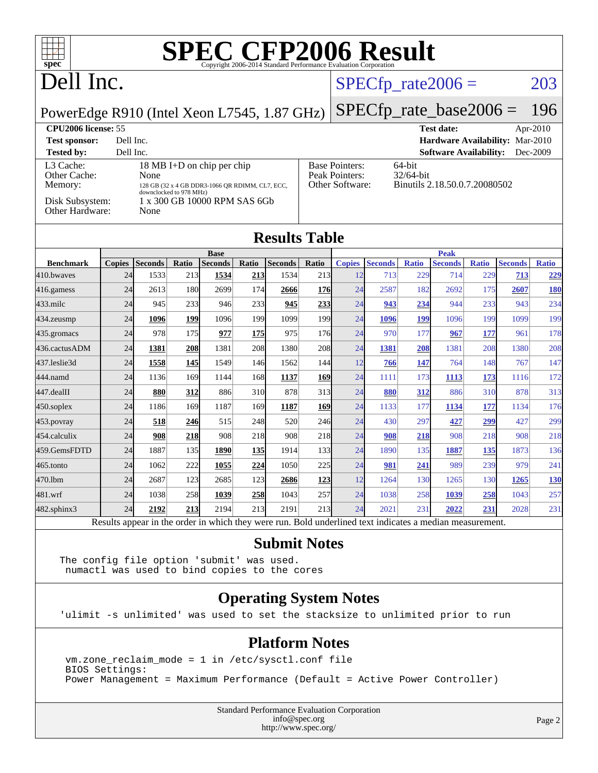

**[Submit Notes](http://www.spec.org/auto/cpu2006/Docs/result-fields.html#SubmitNotes)**

[482.sphinx3](http://www.spec.org/auto/cpu2006/Docs/482.sphinx3.html) 24 **[2192](http://www.spec.org/auto/cpu2006/Docs/result-fields.html#Median) [213](http://www.spec.org/auto/cpu2006/Docs/result-fields.html#Median)** 2194 213 2191 213 24 2021 231 **[2022](http://www.spec.org/auto/cpu2006/Docs/result-fields.html#Median) [231](http://www.spec.org/auto/cpu2006/Docs/result-fields.html#Median)** 2028 231 Results appear in the [order in which they were run.](http://www.spec.org/auto/cpu2006/Docs/result-fields.html#RunOrder) Bold underlined text [indicates a median measurement.](http://www.spec.org/auto/cpu2006/Docs/result-fields.html#Median)

The config file option 'submit' was used. numactl was used to bind copies to the cores

#### **[Operating System Notes](http://www.spec.org/auto/cpu2006/Docs/result-fields.html#OperatingSystemNotes)**

'ulimit -s unlimited' was used to set the stacksize to unlimited prior to run

#### **[Platform Notes](http://www.spec.org/auto/cpu2006/Docs/result-fields.html#PlatformNotes)**

 vm.zone\_reclaim\_mode = 1 in /etc/sysctl.conf file BIOS Settings: Power Management = Maximum Performance (Default = Active Power Controller)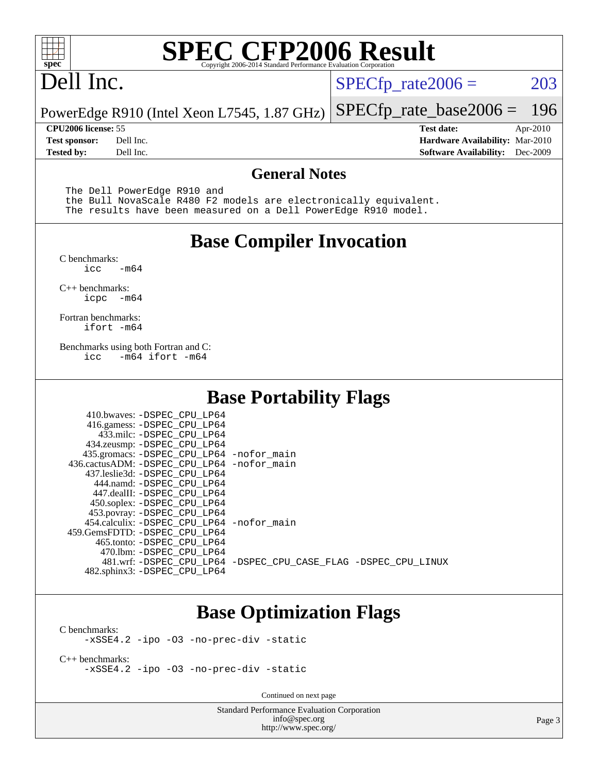

### Dell Inc.

 $SPECTp_rate2006 = 203$ 

PowerEdge R910 (Intel Xeon L7545, 1.87 GHz) [SPECfp\\_rate\\_base2006 =](http://www.spec.org/auto/cpu2006/Docs/result-fields.html#SPECfpratebase2006) 196

**[Tested by:](http://www.spec.org/auto/cpu2006/Docs/result-fields.html#Testedby)** Dell Inc. **[Software Availability:](http://www.spec.org/auto/cpu2006/Docs/result-fields.html#SoftwareAvailability)** Dec-2009

**[CPU2006 license:](http://www.spec.org/auto/cpu2006/Docs/result-fields.html#CPU2006license)** 55 **[Test date:](http://www.spec.org/auto/cpu2006/Docs/result-fields.html#Testdate)** Apr-2010 **[Test sponsor:](http://www.spec.org/auto/cpu2006/Docs/result-fields.html#Testsponsor)** Dell Inc. **[Hardware Availability:](http://www.spec.org/auto/cpu2006/Docs/result-fields.html#HardwareAvailability)** Mar-2010

#### **[General Notes](http://www.spec.org/auto/cpu2006/Docs/result-fields.html#GeneralNotes)**

The Dell PowerEdge R910 and

 the Bull NovaScale R480 F2 models are electronically equivalent. The results have been measured on a Dell PowerEdge R910 model.

#### **[Base Compiler Invocation](http://www.spec.org/auto/cpu2006/Docs/result-fields.html#BaseCompilerInvocation)**

[C benchmarks](http://www.spec.org/auto/cpu2006/Docs/result-fields.html#Cbenchmarks):  $-m64$ 

[C++ benchmarks:](http://www.spec.org/auto/cpu2006/Docs/result-fields.html#CXXbenchmarks) [icpc -m64](http://www.spec.org/cpu2006/results/res2010q3/cpu2006-20100621-11902.flags.html#user_CXXbase_intel_icpc_64bit_bedb90c1146cab66620883ef4f41a67e)

[Fortran benchmarks](http://www.spec.org/auto/cpu2006/Docs/result-fields.html#Fortranbenchmarks): [ifort -m64](http://www.spec.org/cpu2006/results/res2010q3/cpu2006-20100621-11902.flags.html#user_FCbase_intel_ifort_64bit_ee9d0fb25645d0210d97eb0527dcc06e)

[Benchmarks using both Fortran and C](http://www.spec.org/auto/cpu2006/Docs/result-fields.html#BenchmarksusingbothFortranandC): [icc -m64](http://www.spec.org/cpu2006/results/res2010q3/cpu2006-20100621-11902.flags.html#user_CC_FCbase_intel_icc_64bit_0b7121f5ab7cfabee23d88897260401c) [ifort -m64](http://www.spec.org/cpu2006/results/res2010q3/cpu2006-20100621-11902.flags.html#user_CC_FCbase_intel_ifort_64bit_ee9d0fb25645d0210d97eb0527dcc06e)

#### **[Base Portability Flags](http://www.spec.org/auto/cpu2006/Docs/result-fields.html#BasePortabilityFlags)**

| 410.bwaves: -DSPEC CPU LP64<br>416.gamess: -DSPEC_CPU_LP64<br>433.milc: -DSPEC CPU LP64<br>434.zeusmp: -DSPEC_CPU_LP64<br>435.gromacs: -DSPEC_CPU_LP64 -nofor_main<br>436.cactusADM: -DSPEC CPU LP64 -nofor main<br>437.leslie3d: -DSPEC CPU LP64<br>444.namd: -DSPEC CPU LP64<br>447.dealII: -DSPEC CPU LP64 |                                                                |
|---------------------------------------------------------------------------------------------------------------------------------------------------------------------------------------------------------------------------------------------------------------------------------------------------------------|----------------------------------------------------------------|
| 450.soplex: -DSPEC_CPU_LP64<br>453.povray: -DSPEC_CPU_LP64<br>454.calculix: -DSPEC_CPU_LP64 -nofor_main<br>459. GemsFDTD: - DSPEC CPU LP64<br>465.tonto: - DSPEC CPU LP64                                                                                                                                     |                                                                |
| 470.1bm: -DSPEC CPU LP64<br>482.sphinx3: -DSPEC_CPU_LP64                                                                                                                                                                                                                                                      | 481.wrf: -DSPEC CPU_LP64 -DSPEC_CPU_CASE_FLAG -DSPEC_CPU_LINUX |

#### **[Base Optimization Flags](http://www.spec.org/auto/cpu2006/Docs/result-fields.html#BaseOptimizationFlags)**

[C benchmarks](http://www.spec.org/auto/cpu2006/Docs/result-fields.html#Cbenchmarks): [-xSSE4.2](http://www.spec.org/cpu2006/results/res2010q3/cpu2006-20100621-11902.flags.html#user_CCbase_f-xSSE42_f91528193cf0b216347adb8b939d4107) [-ipo](http://www.spec.org/cpu2006/results/res2010q3/cpu2006-20100621-11902.flags.html#user_CCbase_f-ipo) [-O3](http://www.spec.org/cpu2006/results/res2010q3/cpu2006-20100621-11902.flags.html#user_CCbase_f-O3) [-no-prec-div](http://www.spec.org/cpu2006/results/res2010q3/cpu2006-20100621-11902.flags.html#user_CCbase_f-no-prec-div) [-static](http://www.spec.org/cpu2006/results/res2010q3/cpu2006-20100621-11902.flags.html#user_CCbase_f-static)

[C++ benchmarks:](http://www.spec.org/auto/cpu2006/Docs/result-fields.html#CXXbenchmarks) [-xSSE4.2](http://www.spec.org/cpu2006/results/res2010q3/cpu2006-20100621-11902.flags.html#user_CXXbase_f-xSSE42_f91528193cf0b216347adb8b939d4107) [-ipo](http://www.spec.org/cpu2006/results/res2010q3/cpu2006-20100621-11902.flags.html#user_CXXbase_f-ipo) [-O3](http://www.spec.org/cpu2006/results/res2010q3/cpu2006-20100621-11902.flags.html#user_CXXbase_f-O3) [-no-prec-div](http://www.spec.org/cpu2006/results/res2010q3/cpu2006-20100621-11902.flags.html#user_CXXbase_f-no-prec-div) [-static](http://www.spec.org/cpu2006/results/res2010q3/cpu2006-20100621-11902.flags.html#user_CXXbase_f-static)

Continued on next page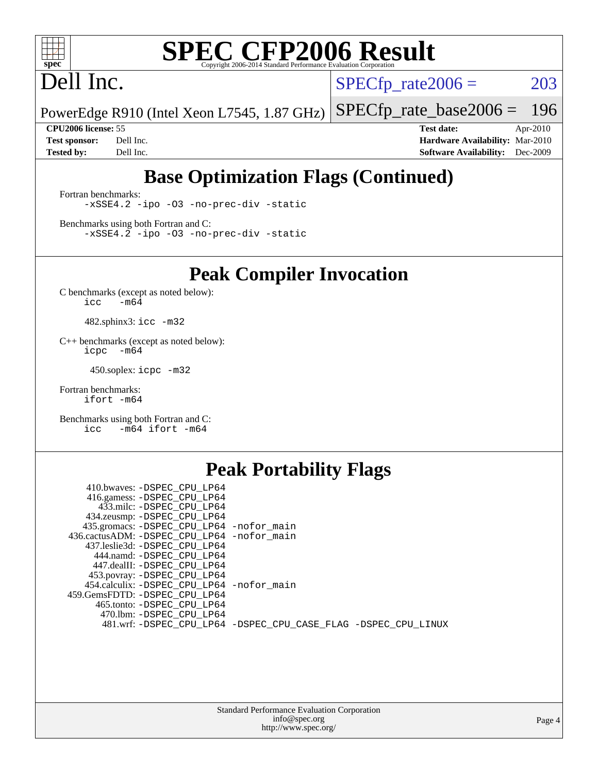

## Dell Inc.

 $SPECTp_rate2006 = 203$ 

PowerEdge R910 (Intel Xeon L7545, 1.87 GHz) [SPECfp\\_rate\\_base2006 =](http://www.spec.org/auto/cpu2006/Docs/result-fields.html#SPECfpratebase2006) 196

**[CPU2006 license:](http://www.spec.org/auto/cpu2006/Docs/result-fields.html#CPU2006license)** 55 **[Test date:](http://www.spec.org/auto/cpu2006/Docs/result-fields.html#Testdate)** Apr-2010 **[Test sponsor:](http://www.spec.org/auto/cpu2006/Docs/result-fields.html#Testsponsor)** Dell Inc. **[Hardware Availability:](http://www.spec.org/auto/cpu2006/Docs/result-fields.html#HardwareAvailability)** Mar-2010 **[Tested by:](http://www.spec.org/auto/cpu2006/Docs/result-fields.html#Testedby)** Dell Inc. **[Software Availability:](http://www.spec.org/auto/cpu2006/Docs/result-fields.html#SoftwareAvailability)** Dec-2009

### **[Base Optimization Flags \(Continued\)](http://www.spec.org/auto/cpu2006/Docs/result-fields.html#BaseOptimizationFlags)**

[Fortran benchmarks](http://www.spec.org/auto/cpu2006/Docs/result-fields.html#Fortranbenchmarks): [-xSSE4.2](http://www.spec.org/cpu2006/results/res2010q3/cpu2006-20100621-11902.flags.html#user_FCbase_f-xSSE42_f91528193cf0b216347adb8b939d4107) [-ipo](http://www.spec.org/cpu2006/results/res2010q3/cpu2006-20100621-11902.flags.html#user_FCbase_f-ipo) [-O3](http://www.spec.org/cpu2006/results/res2010q3/cpu2006-20100621-11902.flags.html#user_FCbase_f-O3) [-no-prec-div](http://www.spec.org/cpu2006/results/res2010q3/cpu2006-20100621-11902.flags.html#user_FCbase_f-no-prec-div) [-static](http://www.spec.org/cpu2006/results/res2010q3/cpu2006-20100621-11902.flags.html#user_FCbase_f-static)

[Benchmarks using both Fortran and C](http://www.spec.org/auto/cpu2006/Docs/result-fields.html#BenchmarksusingbothFortranandC): [-xSSE4.2](http://www.spec.org/cpu2006/results/res2010q3/cpu2006-20100621-11902.flags.html#user_CC_FCbase_f-xSSE42_f91528193cf0b216347adb8b939d4107) [-ipo](http://www.spec.org/cpu2006/results/res2010q3/cpu2006-20100621-11902.flags.html#user_CC_FCbase_f-ipo) [-O3](http://www.spec.org/cpu2006/results/res2010q3/cpu2006-20100621-11902.flags.html#user_CC_FCbase_f-O3) [-no-prec-div](http://www.spec.org/cpu2006/results/res2010q3/cpu2006-20100621-11902.flags.html#user_CC_FCbase_f-no-prec-div) [-static](http://www.spec.org/cpu2006/results/res2010q3/cpu2006-20100621-11902.flags.html#user_CC_FCbase_f-static)

**[Peak Compiler Invocation](http://www.spec.org/auto/cpu2006/Docs/result-fields.html#PeakCompilerInvocation)**

[C benchmarks \(except as noted below\)](http://www.spec.org/auto/cpu2006/Docs/result-fields.html#Cbenchmarksexceptasnotedbelow):  $\text{icc}$  -m64

482.sphinx3: [icc -m32](http://www.spec.org/cpu2006/results/res2010q3/cpu2006-20100621-11902.flags.html#user_peakCCLD482_sphinx3_intel_icc_32bit_a6a621f8d50482236b970c6ac5f55f93)

[C++ benchmarks \(except as noted below\):](http://www.spec.org/auto/cpu2006/Docs/result-fields.html#CXXbenchmarksexceptasnotedbelow) [icpc -m64](http://www.spec.org/cpu2006/results/res2010q3/cpu2006-20100621-11902.flags.html#user_CXXpeak_intel_icpc_64bit_bedb90c1146cab66620883ef4f41a67e)

450.soplex: [icpc -m32](http://www.spec.org/cpu2006/results/res2010q3/cpu2006-20100621-11902.flags.html#user_peakCXXLD450_soplex_intel_icpc_32bit_4e5a5ef1a53fd332b3c49e69c3330699)

[Fortran benchmarks](http://www.spec.org/auto/cpu2006/Docs/result-fields.html#Fortranbenchmarks): [ifort -m64](http://www.spec.org/cpu2006/results/res2010q3/cpu2006-20100621-11902.flags.html#user_FCpeak_intel_ifort_64bit_ee9d0fb25645d0210d97eb0527dcc06e)

[Benchmarks using both Fortran and C](http://www.spec.org/auto/cpu2006/Docs/result-fields.html#BenchmarksusingbothFortranandC): [icc -m64](http://www.spec.org/cpu2006/results/res2010q3/cpu2006-20100621-11902.flags.html#user_CC_FCpeak_intel_icc_64bit_0b7121f5ab7cfabee23d88897260401c) [ifort -m64](http://www.spec.org/cpu2006/results/res2010q3/cpu2006-20100621-11902.flags.html#user_CC_FCpeak_intel_ifort_64bit_ee9d0fb25645d0210d97eb0527dcc06e)

#### **[Peak Portability Flags](http://www.spec.org/auto/cpu2006/Docs/result-fields.html#PeakPortabilityFlags)**

| 410.bwaves: -DSPEC CPU LP64                |                                                                |
|--------------------------------------------|----------------------------------------------------------------|
| 416.gamess: -DSPEC CPU LP64                |                                                                |
| 433.milc: -DSPEC CPU LP64                  |                                                                |
| 434.zeusmp: -DSPEC_CPU_LP64                |                                                                |
| 435.gromacs: -DSPEC_CPU_LP64 -nofor_main   |                                                                |
| 436.cactusADM: -DSPEC CPU LP64 -nofor main |                                                                |
| 437.leslie3d: -DSPEC CPU LP64              |                                                                |
| 444.namd: -DSPEC CPU LP64                  |                                                                |
| 447.dealII: -DSPEC CPU LP64                |                                                                |
| 453.povray: -DSPEC_CPU_LP64                |                                                                |
| 454.calculix: -DSPEC_CPU_LP64 -nofor_main  |                                                                |
| 459.GemsFDTD: -DSPEC CPU LP64              |                                                                |
| 465.tonto: -DSPEC CPU LP64                 |                                                                |
| 470.1bm: -DSPEC CPU LP64                   |                                                                |
|                                            | 481.wrf: -DSPEC_CPU_LP64 -DSPEC_CPU_CASE_FLAG -DSPEC_CPU_LINUX |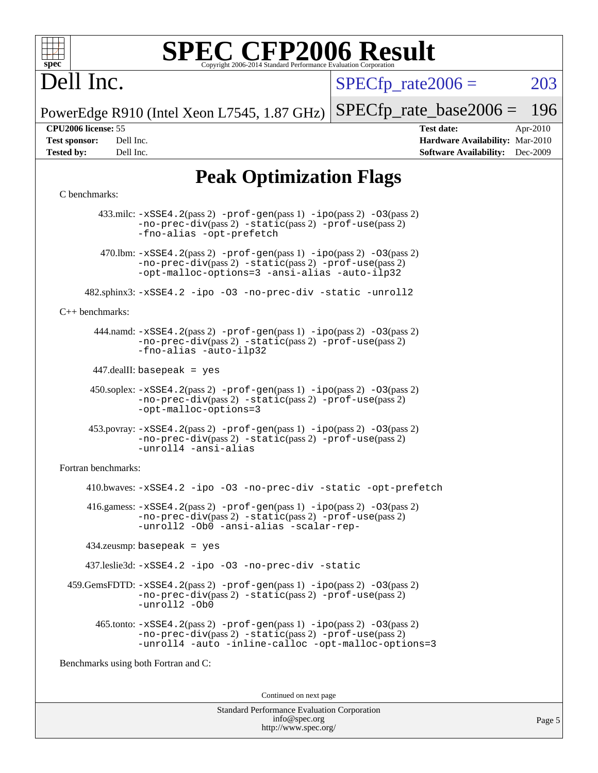

## Dell Inc.

 $SPECTp\_rate2006 = 203$ 

PowerEdge R910 (Intel Xeon L7545, 1.87 GHz) [SPECfp\\_rate\\_base2006 =](http://www.spec.org/auto/cpu2006/Docs/result-fields.html#SPECfpratebase2006) 196

**[CPU2006 license:](http://www.spec.org/auto/cpu2006/Docs/result-fields.html#CPU2006license)** 55 **[Test date:](http://www.spec.org/auto/cpu2006/Docs/result-fields.html#Testdate)** Apr-2010 **[Test sponsor:](http://www.spec.org/auto/cpu2006/Docs/result-fields.html#Testsponsor)** Dell Inc. **[Hardware Availability:](http://www.spec.org/auto/cpu2006/Docs/result-fields.html#HardwareAvailability)** Mar-2010 **[Tested by:](http://www.spec.org/auto/cpu2006/Docs/result-fields.html#Testedby)** Dell Inc. **[Software Availability:](http://www.spec.org/auto/cpu2006/Docs/result-fields.html#SoftwareAvailability)** Dec-2009

#### **[Peak Optimization Flags](http://www.spec.org/auto/cpu2006/Docs/result-fields.html#PeakOptimizationFlags)**

#### [C benchmarks](http://www.spec.org/auto/cpu2006/Docs/result-fields.html#Cbenchmarks):

 433.milc: [-xSSE4.2](http://www.spec.org/cpu2006/results/res2010q3/cpu2006-20100621-11902.flags.html#user_peakPASS2_CFLAGSPASS2_LDFLAGS433_milc_f-xSSE42_f91528193cf0b216347adb8b939d4107)(pass 2) [-prof-gen](http://www.spec.org/cpu2006/results/res2010q3/cpu2006-20100621-11902.flags.html#user_peakPASS1_CFLAGSPASS1_LDFLAGS433_milc_prof_gen_e43856698f6ca7b7e442dfd80e94a8fc)(pass 1) [-ipo](http://www.spec.org/cpu2006/results/res2010q3/cpu2006-20100621-11902.flags.html#user_peakPASS2_CFLAGSPASS2_LDFLAGS433_milc_f-ipo)(pass 2) [-O3](http://www.spec.org/cpu2006/results/res2010q3/cpu2006-20100621-11902.flags.html#user_peakPASS2_CFLAGSPASS2_LDFLAGS433_milc_f-O3)(pass 2) [-no-prec-div](http://www.spec.org/cpu2006/results/res2010q3/cpu2006-20100621-11902.flags.html#user_peakPASS2_CFLAGSPASS2_LDFLAGS433_milc_f-no-prec-div)(pass 2) [-static](http://www.spec.org/cpu2006/results/res2010q3/cpu2006-20100621-11902.flags.html#user_peakPASS2_CFLAGSPASS2_LDFLAGS433_milc_f-static)(pass 2) [-prof-use](http://www.spec.org/cpu2006/results/res2010q3/cpu2006-20100621-11902.flags.html#user_peakPASS2_CFLAGSPASS2_LDFLAGS433_milc_prof_use_bccf7792157ff70d64e32fe3e1250b55)(pass 2) [-fno-alias](http://www.spec.org/cpu2006/results/res2010q3/cpu2006-20100621-11902.flags.html#user_peakOPTIMIZE433_milc_f-no-alias_694e77f6c5a51e658e82ccff53a9e63a) [-opt-prefetch](http://www.spec.org/cpu2006/results/res2010q3/cpu2006-20100621-11902.flags.html#user_peakOPTIMIZE433_milc_f-opt-prefetch) 470.1bm:  $-xSSE4$ . 2(pass 2)  $-prof-gen(pass 1) -ipo(pass 2) -O3(pass 2)$  $-prof-gen(pass 1) -ipo(pass 2) -O3(pass 2)$  $-prof-gen(pass 1) -ipo(pass 2) -O3(pass 2)$  $-prof-gen(pass 1) -ipo(pass 2) -O3(pass 2)$  $-prof-gen(pass 1) -ipo(pass 2) -O3(pass 2)$  $-prof-gen(pass 1) -ipo(pass 2) -O3(pass 2)$ [-no-prec-div](http://www.spec.org/cpu2006/results/res2010q3/cpu2006-20100621-11902.flags.html#user_peakPASS2_CFLAGSPASS2_LDFLAGS470_lbm_f-no-prec-div)(pass 2) [-static](http://www.spec.org/cpu2006/results/res2010q3/cpu2006-20100621-11902.flags.html#user_peakPASS2_CFLAGSPASS2_LDFLAGS470_lbm_f-static)(pass 2) [-prof-use](http://www.spec.org/cpu2006/results/res2010q3/cpu2006-20100621-11902.flags.html#user_peakPASS2_CFLAGSPASS2_LDFLAGS470_lbm_prof_use_bccf7792157ff70d64e32fe3e1250b55)(pass 2) [-opt-malloc-options=3](http://www.spec.org/cpu2006/results/res2010q3/cpu2006-20100621-11902.flags.html#user_peakOPTIMIZE470_lbm_f-opt-malloc-options_13ab9b803cf986b4ee62f0a5998c2238) [-ansi-alias](http://www.spec.org/cpu2006/results/res2010q3/cpu2006-20100621-11902.flags.html#user_peakOPTIMIZE470_lbm_f-ansi-alias) [-auto-ilp32](http://www.spec.org/cpu2006/results/res2010q3/cpu2006-20100621-11902.flags.html#user_peakCOPTIMIZE470_lbm_f-auto-ilp32) 482.sphinx3: [-xSSE4.2](http://www.spec.org/cpu2006/results/res2010q3/cpu2006-20100621-11902.flags.html#user_peakOPTIMIZE482_sphinx3_f-xSSE42_f91528193cf0b216347adb8b939d4107) [-ipo](http://www.spec.org/cpu2006/results/res2010q3/cpu2006-20100621-11902.flags.html#user_peakOPTIMIZE482_sphinx3_f-ipo) [-O3](http://www.spec.org/cpu2006/results/res2010q3/cpu2006-20100621-11902.flags.html#user_peakOPTIMIZE482_sphinx3_f-O3) [-no-prec-div](http://www.spec.org/cpu2006/results/res2010q3/cpu2006-20100621-11902.flags.html#user_peakOPTIMIZE482_sphinx3_f-no-prec-div) [-static](http://www.spec.org/cpu2006/results/res2010q3/cpu2006-20100621-11902.flags.html#user_peakOPTIMIZE482_sphinx3_f-static) [-unroll2](http://www.spec.org/cpu2006/results/res2010q3/cpu2006-20100621-11902.flags.html#user_peakCOPTIMIZE482_sphinx3_f-unroll_784dae83bebfb236979b41d2422d7ec2) [C++ benchmarks:](http://www.spec.org/auto/cpu2006/Docs/result-fields.html#CXXbenchmarks) 444.namd: [-xSSE4.2](http://www.spec.org/cpu2006/results/res2010q3/cpu2006-20100621-11902.flags.html#user_peakPASS2_CXXFLAGSPASS2_LDFLAGS444_namd_f-xSSE42_f91528193cf0b216347adb8b939d4107)(pass 2) [-prof-gen](http://www.spec.org/cpu2006/results/res2010q3/cpu2006-20100621-11902.flags.html#user_peakPASS1_CXXFLAGSPASS1_LDFLAGS444_namd_prof_gen_e43856698f6ca7b7e442dfd80e94a8fc)(pass 1) [-ipo](http://www.spec.org/cpu2006/results/res2010q3/cpu2006-20100621-11902.flags.html#user_peakPASS2_CXXFLAGSPASS2_LDFLAGS444_namd_f-ipo)(pass 2) [-O3](http://www.spec.org/cpu2006/results/res2010q3/cpu2006-20100621-11902.flags.html#user_peakPASS2_CXXFLAGSPASS2_LDFLAGS444_namd_f-O3)(pass 2) [-no-prec-div](http://www.spec.org/cpu2006/results/res2010q3/cpu2006-20100621-11902.flags.html#user_peakPASS2_CXXFLAGSPASS2_LDFLAGS444_namd_f-no-prec-div)(pass 2) [-static](http://www.spec.org/cpu2006/results/res2010q3/cpu2006-20100621-11902.flags.html#user_peakPASS2_CXXFLAGSPASS2_LDFLAGS444_namd_f-static)(pass 2) [-prof-use](http://www.spec.org/cpu2006/results/res2010q3/cpu2006-20100621-11902.flags.html#user_peakPASS2_CXXFLAGSPASS2_LDFLAGS444_namd_prof_use_bccf7792157ff70d64e32fe3e1250b55)(pass 2) [-fno-alias](http://www.spec.org/cpu2006/results/res2010q3/cpu2006-20100621-11902.flags.html#user_peakCXXOPTIMIZE444_namd_f-no-alias_694e77f6c5a51e658e82ccff53a9e63a) [-auto-ilp32](http://www.spec.org/cpu2006/results/res2010q3/cpu2006-20100621-11902.flags.html#user_peakCXXOPTIMIZE444_namd_f-auto-ilp32) 447.dealII: basepeak = yes 450.soplex: [-xSSE4.2](http://www.spec.org/cpu2006/results/res2010q3/cpu2006-20100621-11902.flags.html#user_peakPASS2_CXXFLAGSPASS2_LDFLAGS450_soplex_f-xSSE42_f91528193cf0b216347adb8b939d4107)(pass 2) [-prof-gen](http://www.spec.org/cpu2006/results/res2010q3/cpu2006-20100621-11902.flags.html#user_peakPASS1_CXXFLAGSPASS1_LDFLAGS450_soplex_prof_gen_e43856698f6ca7b7e442dfd80e94a8fc)(pass 1) [-ipo](http://www.spec.org/cpu2006/results/res2010q3/cpu2006-20100621-11902.flags.html#user_peakPASS2_CXXFLAGSPASS2_LDFLAGS450_soplex_f-ipo)(pass 2) [-O3](http://www.spec.org/cpu2006/results/res2010q3/cpu2006-20100621-11902.flags.html#user_peakPASS2_CXXFLAGSPASS2_LDFLAGS450_soplex_f-O3)(pass 2) [-no-prec-div](http://www.spec.org/cpu2006/results/res2010q3/cpu2006-20100621-11902.flags.html#user_peakPASS2_CXXFLAGSPASS2_LDFLAGS450_soplex_f-no-prec-div)(pass 2) [-static](http://www.spec.org/cpu2006/results/res2010q3/cpu2006-20100621-11902.flags.html#user_peakPASS2_CXXFLAGSPASS2_LDFLAGS450_soplex_f-static)(pass 2) [-prof-use](http://www.spec.org/cpu2006/results/res2010q3/cpu2006-20100621-11902.flags.html#user_peakPASS2_CXXFLAGSPASS2_LDFLAGS450_soplex_prof_use_bccf7792157ff70d64e32fe3e1250b55)(pass 2) [-opt-malloc-options=3](http://www.spec.org/cpu2006/results/res2010q3/cpu2006-20100621-11902.flags.html#user_peakOPTIMIZE450_soplex_f-opt-malloc-options_13ab9b803cf986b4ee62f0a5998c2238) 453.povray: [-xSSE4.2](http://www.spec.org/cpu2006/results/res2010q3/cpu2006-20100621-11902.flags.html#user_peakPASS2_CXXFLAGSPASS2_LDFLAGS453_povray_f-xSSE42_f91528193cf0b216347adb8b939d4107)(pass 2) [-prof-gen](http://www.spec.org/cpu2006/results/res2010q3/cpu2006-20100621-11902.flags.html#user_peakPASS1_CXXFLAGSPASS1_LDFLAGS453_povray_prof_gen_e43856698f6ca7b7e442dfd80e94a8fc)(pass 1) [-ipo](http://www.spec.org/cpu2006/results/res2010q3/cpu2006-20100621-11902.flags.html#user_peakPASS2_CXXFLAGSPASS2_LDFLAGS453_povray_f-ipo)(pass 2) [-O3](http://www.spec.org/cpu2006/results/res2010q3/cpu2006-20100621-11902.flags.html#user_peakPASS2_CXXFLAGSPASS2_LDFLAGS453_povray_f-O3)(pass 2) [-no-prec-div](http://www.spec.org/cpu2006/results/res2010q3/cpu2006-20100621-11902.flags.html#user_peakPASS2_CXXFLAGSPASS2_LDFLAGS453_povray_f-no-prec-div)(pass 2) [-static](http://www.spec.org/cpu2006/results/res2010q3/cpu2006-20100621-11902.flags.html#user_peakPASS2_CXXFLAGSPASS2_LDFLAGS453_povray_f-static)(pass 2) [-prof-use](http://www.spec.org/cpu2006/results/res2010q3/cpu2006-20100621-11902.flags.html#user_peakPASS2_CXXFLAGSPASS2_LDFLAGS453_povray_prof_use_bccf7792157ff70d64e32fe3e1250b55)(pass 2) [-unroll4](http://www.spec.org/cpu2006/results/res2010q3/cpu2006-20100621-11902.flags.html#user_peakCXXOPTIMIZE453_povray_f-unroll_4e5e4ed65b7fd20bdcd365bec371b81f) [-ansi-alias](http://www.spec.org/cpu2006/results/res2010q3/cpu2006-20100621-11902.flags.html#user_peakCXXOPTIMIZE453_povray_f-ansi-alias) [Fortran benchmarks](http://www.spec.org/auto/cpu2006/Docs/result-fields.html#Fortranbenchmarks): 410.bwaves: [-xSSE4.2](http://www.spec.org/cpu2006/results/res2010q3/cpu2006-20100621-11902.flags.html#user_peakOPTIMIZE410_bwaves_f-xSSE42_f91528193cf0b216347adb8b939d4107) [-ipo](http://www.spec.org/cpu2006/results/res2010q3/cpu2006-20100621-11902.flags.html#user_peakOPTIMIZE410_bwaves_f-ipo) [-O3](http://www.spec.org/cpu2006/results/res2010q3/cpu2006-20100621-11902.flags.html#user_peakOPTIMIZE410_bwaves_f-O3) [-no-prec-div](http://www.spec.org/cpu2006/results/res2010q3/cpu2006-20100621-11902.flags.html#user_peakOPTIMIZE410_bwaves_f-no-prec-div) [-static](http://www.spec.org/cpu2006/results/res2010q3/cpu2006-20100621-11902.flags.html#user_peakOPTIMIZE410_bwaves_f-static) [-opt-prefetch](http://www.spec.org/cpu2006/results/res2010q3/cpu2006-20100621-11902.flags.html#user_peakOPTIMIZE410_bwaves_f-opt-prefetch)  $416$ .gamess:  $-xSSE4$ .  $2(pass 2)$  -prof-qen(pass 1) [-ipo](http://www.spec.org/cpu2006/results/res2010q3/cpu2006-20100621-11902.flags.html#user_peakPASS2_FFLAGSPASS2_LDFLAGS416_gamess_f-ipo)(pass 2) -03(pass 2) [-no-prec-div](http://www.spec.org/cpu2006/results/res2010q3/cpu2006-20100621-11902.flags.html#user_peakPASS2_FFLAGSPASS2_LDFLAGS416_gamess_f-no-prec-div)(pass 2) [-static](http://www.spec.org/cpu2006/results/res2010q3/cpu2006-20100621-11902.flags.html#user_peakPASS2_FFLAGSPASS2_LDFLAGS416_gamess_f-static)(pass 2) [-prof-use](http://www.spec.org/cpu2006/results/res2010q3/cpu2006-20100621-11902.flags.html#user_peakPASS2_FFLAGSPASS2_LDFLAGS416_gamess_prof_use_bccf7792157ff70d64e32fe3e1250b55)(pass 2) [-unroll2](http://www.spec.org/cpu2006/results/res2010q3/cpu2006-20100621-11902.flags.html#user_peakOPTIMIZE416_gamess_f-unroll_784dae83bebfb236979b41d2422d7ec2) [-Ob0](http://www.spec.org/cpu2006/results/res2010q3/cpu2006-20100621-11902.flags.html#user_peakOPTIMIZE416_gamess_f-Ob_n_fbe6f6428adb7d4b74b1e99bb2444c2d) [-ansi-alias](http://www.spec.org/cpu2006/results/res2010q3/cpu2006-20100621-11902.flags.html#user_peakOPTIMIZE416_gamess_f-ansi-alias) [-scalar-rep-](http://www.spec.org/cpu2006/results/res2010q3/cpu2006-20100621-11902.flags.html#user_peakOPTIMIZE416_gamess_f-disablescalarrep_abbcad04450fb118e4809c81d83c8a1d) 434.zeusmp: basepeak = yes 437.leslie3d: [-xSSE4.2](http://www.spec.org/cpu2006/results/res2010q3/cpu2006-20100621-11902.flags.html#user_peakOPTIMIZE437_leslie3d_f-xSSE42_f91528193cf0b216347adb8b939d4107) [-ipo](http://www.spec.org/cpu2006/results/res2010q3/cpu2006-20100621-11902.flags.html#user_peakOPTIMIZE437_leslie3d_f-ipo) [-O3](http://www.spec.org/cpu2006/results/res2010q3/cpu2006-20100621-11902.flags.html#user_peakOPTIMIZE437_leslie3d_f-O3) [-no-prec-div](http://www.spec.org/cpu2006/results/res2010q3/cpu2006-20100621-11902.flags.html#user_peakOPTIMIZE437_leslie3d_f-no-prec-div) [-static](http://www.spec.org/cpu2006/results/res2010q3/cpu2006-20100621-11902.flags.html#user_peakOPTIMIZE437_leslie3d_f-static) 459.GemsFDTD: [-xSSE4.2](http://www.spec.org/cpu2006/results/res2010q3/cpu2006-20100621-11902.flags.html#user_peakPASS2_FFLAGSPASS2_LDFLAGS459_GemsFDTD_f-xSSE42_f91528193cf0b216347adb8b939d4107)(pass 2) [-prof-gen](http://www.spec.org/cpu2006/results/res2010q3/cpu2006-20100621-11902.flags.html#user_peakPASS1_FFLAGSPASS1_LDFLAGS459_GemsFDTD_prof_gen_e43856698f6ca7b7e442dfd80e94a8fc)(pass 1) [-ipo](http://www.spec.org/cpu2006/results/res2010q3/cpu2006-20100621-11902.flags.html#user_peakPASS2_FFLAGSPASS2_LDFLAGS459_GemsFDTD_f-ipo)(pass 2) [-O3](http://www.spec.org/cpu2006/results/res2010q3/cpu2006-20100621-11902.flags.html#user_peakPASS2_FFLAGSPASS2_LDFLAGS459_GemsFDTD_f-O3)(pass 2) [-no-prec-div](http://www.spec.org/cpu2006/results/res2010q3/cpu2006-20100621-11902.flags.html#user_peakPASS2_FFLAGSPASS2_LDFLAGS459_GemsFDTD_f-no-prec-div)(pass 2) [-static](http://www.spec.org/cpu2006/results/res2010q3/cpu2006-20100621-11902.flags.html#user_peakPASS2_FFLAGSPASS2_LDFLAGS459_GemsFDTD_f-static)(pass 2) [-prof-use](http://www.spec.org/cpu2006/results/res2010q3/cpu2006-20100621-11902.flags.html#user_peakPASS2_FFLAGSPASS2_LDFLAGS459_GemsFDTD_prof_use_bccf7792157ff70d64e32fe3e1250b55)(pass 2) [-unroll2](http://www.spec.org/cpu2006/results/res2010q3/cpu2006-20100621-11902.flags.html#user_peakOPTIMIZE459_GemsFDTD_f-unroll_784dae83bebfb236979b41d2422d7ec2) [-Ob0](http://www.spec.org/cpu2006/results/res2010q3/cpu2006-20100621-11902.flags.html#user_peakOPTIMIZE459_GemsFDTD_f-Ob_n_fbe6f6428adb7d4b74b1e99bb2444c2d)  $465$ .tonto:  $-xSSE4$ .  $2(pass 2)$  [-prof-gen](http://www.spec.org/cpu2006/results/res2010q3/cpu2006-20100621-11902.flags.html#user_peakPASS1_FFLAGSPASS1_LDFLAGS465_tonto_prof_gen_e43856698f6ca7b7e442dfd80e94a8fc)(pass 1) [-ipo](http://www.spec.org/cpu2006/results/res2010q3/cpu2006-20100621-11902.flags.html#user_peakPASS2_FFLAGSPASS2_LDFLAGS465_tonto_f-ipo)(pass 2) [-O3](http://www.spec.org/cpu2006/results/res2010q3/cpu2006-20100621-11902.flags.html#user_peakPASS2_FFLAGSPASS2_LDFLAGS465_tonto_f-O3)(pass 2) [-no-prec-div](http://www.spec.org/cpu2006/results/res2010q3/cpu2006-20100621-11902.flags.html#user_peakPASS2_FFLAGSPASS2_LDFLAGS465_tonto_f-no-prec-div)(pass 2) [-static](http://www.spec.org/cpu2006/results/res2010q3/cpu2006-20100621-11902.flags.html#user_peakPASS2_FFLAGSPASS2_LDFLAGS465_tonto_f-static)(pass 2) [-prof-use](http://www.spec.org/cpu2006/results/res2010q3/cpu2006-20100621-11902.flags.html#user_peakPASS2_FFLAGSPASS2_LDFLAGS465_tonto_prof_use_bccf7792157ff70d64e32fe3e1250b55)(pass 2) [-unroll4](http://www.spec.org/cpu2006/results/res2010q3/cpu2006-20100621-11902.flags.html#user_peakOPTIMIZE465_tonto_f-unroll_4e5e4ed65b7fd20bdcd365bec371b81f) [-auto](http://www.spec.org/cpu2006/results/res2010q3/cpu2006-20100621-11902.flags.html#user_peakOPTIMIZE465_tonto_f-auto) [-inline-calloc](http://www.spec.org/cpu2006/results/res2010q3/cpu2006-20100621-11902.flags.html#user_peakOPTIMIZE465_tonto_f-inline-calloc) [-opt-malloc-options=3](http://www.spec.org/cpu2006/results/res2010q3/cpu2006-20100621-11902.flags.html#user_peakOPTIMIZE465_tonto_f-opt-malloc-options_13ab9b803cf986b4ee62f0a5998c2238) [Benchmarks using both Fortran and C](http://www.spec.org/auto/cpu2006/Docs/result-fields.html#BenchmarksusingbothFortranandC): Continued on next page